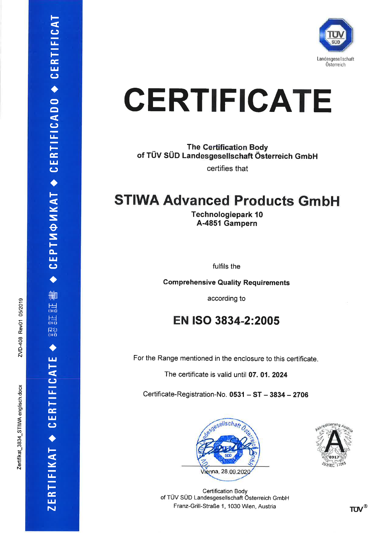

# **CERTIFICATE**

**The Certification Body** of TÜV SÜD Landesgesellschaft Österreich GmbH certifies that

## **STIWA Advanced Products GmbH**

**Technologiepark 10** A-4851 Gampern

fulfils the

**Comprehensive Quality Requirements** 

according to

## EN ISO 3834-2:2005

For the Range mentioned in the enclosure to this certificate.

The certificate is valid until 07. 01. 2024

Certificate-Registration-No. 0531 - ST - 3834 - 2706



**Certification Body** of TÜV SÜD Landesgesellschaft Österreich GmbH Franz-Grill-Straße 1, 1030 Wien, Austria



CEPTMONKAT ◆ CERTIFICADO ◆ CERTIFICAT

删

晨 僵

Rミ<br>lluč

ш

ZERTIFIKAT ◆ CERTIFICAT

**TUV®**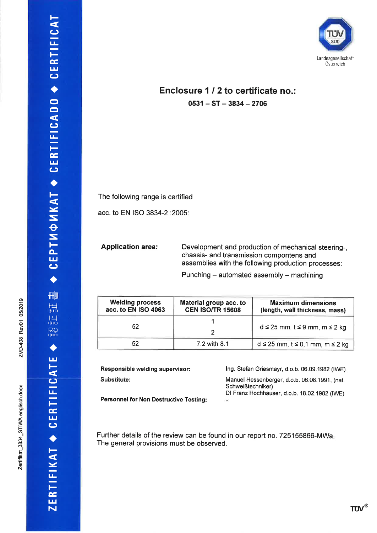#### Enclosure 1 / 2 to certificate no.:  $0531 - ST - 3834 - 2706$

The following range is certified

acc. to EN ISO 3834-2 : 2005:

**Application area:** Development and production of mechanical steering-, chassis- and transmission compontens and assemblies with the following production processes:

Punching - automated assembly - machining

| <b>Welding process</b><br>acc. to EN ISO 4063 | Material group acc. to<br><b>CEN ISO/TR 15608</b> | <b>Maximum dimensions</b><br>(length, wall thickness, mass) |
|-----------------------------------------------|---------------------------------------------------|-------------------------------------------------------------|
| 52                                            |                                                   | $d \le 25$ mm, $t \le 9$ mm, m $\le 2$ kg                   |
| 52                                            | 7.2 with 8.1                                      | $d \le 25$ mm, $t \le 0.1$ mm, m $\le 2$ kg                 |

| Responsible welding supervisor:               | Ing. Stefan Griesmayr, d.o.b. 06.09.1982 (IWE)                     |
|-----------------------------------------------|--------------------------------------------------------------------|
| Substitute:                                   | Manuel Hessenberger, d.o.b. 06.08.1991, (nat.<br>Schweißtechniker) |
| <b>Personnel for Non Destructive Testing:</b> | DI Franz Hochhauser, d.o.b. 18.02.1982 (IWE)<br>$\sim$             |

Further details of the review can be found in our report no. 725155866-MWa. The general provisions must be observed.

CEPTИФИКАТ ◆ CERTIFICADO ◆ CERTIFICAT

刪

温 温 <mark>保</mark>さ

ш

ZERTIFIKAT • CERTIFICAT